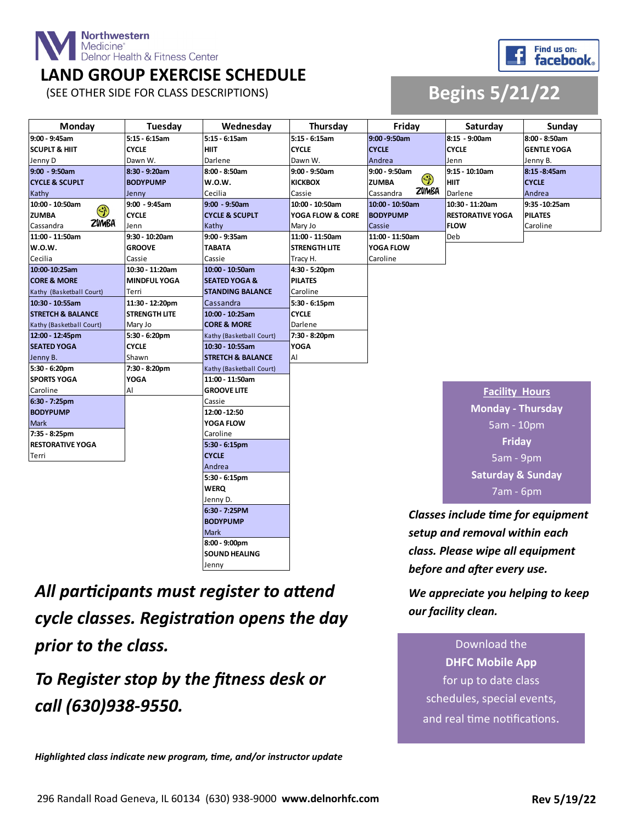

#### **LAND GROUP EXERCISE SCHEDULE**



#### (SEE OTHER SIDE FOR CLASS DESCRIPTIONS) **Begins 5/21/22**

| Monday                       | <b>Tuesday</b>       | Wednesday                    | Thursday                                  | Fridav                  | Saturday                     | Sundav             |
|------------------------------|----------------------|------------------------------|-------------------------------------------|-------------------------|------------------------------|--------------------|
| 9:00 - 9:45am                | 5:15 - 6:15am        | 5:15 - 6:15am                | 5:15 - 6:15am                             | 9:00 - 9:50am           | 8:15 - 9:00am                | 8:00 - 8:50am      |
| <b>SCUPLT &amp; HIIT</b>     | <b>CYCLE</b>         | <b>HIIT</b>                  | <b>CYCLE</b>                              | <b>CYCLE</b>            | <b>CYCLE</b>                 | <b>GENTLE YOGA</b> |
| Jenny D                      | Dawn W.              | Darlene                      | Dawn W.                                   | Andrea                  | Jenn                         | Jenny B.           |
| $9:00 - 9:50$ am             | 8:30 - 9:20am        | 8:00 - 8:50am                | 9:00 - 9:50am                             | $9:00 - 9:50$ am        | 9:15 - 10:10am               | 8:15 - 8:45am      |
| <b>CYCLE &amp; SCUPLT</b>    | <b>BODYPUMP</b>      | <b>W.O.W.</b>                | <b>KICKBOX</b>                            | $\odot$<br><b>ZUMBA</b> | <b>HIIT</b>                  | <b>CYCLE</b>       |
| Kathy                        | Jenny                | Cecilia                      | Cassie                                    | ZVMBA<br>Cassandra      | Darlene                      | Andrea             |
| 10:00 - 10:50am              | 9:00 - 9:45am        | 9:00 - 9:50am                | 10:00 - 10:50am                           | 10:00 - 10:50am         | 10:30 - 11:20am              | 9:35 - 10:25am     |
| $\mathbb{C}$<br><b>ZUMBA</b> | <b>CYCLE</b>         | <b>CYCLE &amp; SCUPLT</b>    | YOGA FLOW & CORE                          | <b>BODYPUMP</b>         | <b>RESTORATIVE YOGA</b>      | <b>PILATES</b>     |
| <b>ZVMBA</b><br>Cassandra    | Jenn                 | Kathy                        | Mary Jo                                   | Cassie                  | <b>FLOW</b>                  | Caroline           |
| 11:00 - 11:50am              | 9:30 - 10:20am       | 9:00 - 9:35am                | 11:00 - 11:50am                           | 11:00 - 11:50am         | Deb                          |                    |
| <b>W.O.W.</b>                | <b>GROOVE</b>        | <b>TABATA</b>                | <b>STRENGTH LITE</b>                      | YOGA FLOW               |                              |                    |
| Cecilia                      | Cassie               | Cassie                       | Tracy H.                                  | Caroline                |                              |                    |
| 10:00-10:25am                | 10:30 - 11:20am      | 10:00 - 10:50am              | 4:30 - 5:20pm                             |                         |                              |                    |
| <b>CORE &amp; MORE</b>       | <b>MINDFUL YOGA</b>  | <b>SEATED YOGA &amp;</b>     | <b>PILATES</b>                            |                         |                              |                    |
| Kathy (Basketball Court)     | Terri                | <b>STANDING BALANCE</b>      | Caroline                                  |                         |                              |                    |
| 10:30 - 10:55am              | 11:30 - 12:20pm      | Cassandra                    | 5:30 - 6:15pm                             |                         |                              |                    |
| <b>STRETCH &amp; BALANCE</b> | <b>STRENGTH LITE</b> | 10:00 - 10:25am              | <b>CYCLE</b>                              |                         |                              |                    |
| Kathy (Basketball Court)     | Mary Jo              | <b>CORE &amp; MORE</b>       | Darlene                                   |                         |                              |                    |
| 12:00 - 12:45pm              | 5:30 - 6:20pm        | Kathy (Basketball Court)     | 7:30 - 8:20pm                             |                         |                              |                    |
| <b>SEATED YOGA</b>           | <b>CYCLE</b>         | 10:30 - 10:55am              | <b>YOGA</b>                               |                         |                              |                    |
| Jenny B.                     | Shawn                | <b>STRETCH &amp; BALANCE</b> | Al                                        |                         |                              |                    |
| 5:30 - 6:20pm                | 7:30 - 8:20pm        | Kathy (Basketball Court)     |                                           |                         |                              |                    |
| <b>SPORTS YOGA</b>           | <b>YOGA</b>          | 11:00 - 11:50am              |                                           |                         |                              |                    |
| Caroline                     | Al                   | <b>GROOVE LITE</b>           |                                           |                         | <b>Facility Hours</b>        |                    |
| 6:30 - 7:25pm                |                      | Cassie                       |                                           |                         | <b>Monday - Thursday</b>     |                    |
| <b>BODYPUMP</b>              |                      | 12:00 - 12:50                |                                           |                         |                              |                    |
| <b>Mark</b>                  |                      | YOGA FLOW                    |                                           |                         | 5am - 10pm                   |                    |
| 7:35 - 8:25pm                |                      | Caroline                     |                                           |                         |                              |                    |
| <b>RESTORATIVE YOGA</b>      |                      | 5:30 - 6:15pm                |                                           |                         | <b>Friday</b>                |                    |
| Terri                        |                      | <b>CYCLE</b>                 |                                           |                         | 5am - 9pm                    |                    |
|                              |                      | Andrea                       |                                           |                         |                              |                    |
|                              |                      | 5:30 - 6:15pm                |                                           |                         | <b>Saturday &amp; Sunday</b> |                    |
|                              |                      | <b>WERQ</b>                  |                                           |                         | 7am - 6pm                    |                    |
|                              | Jenny D.             |                              |                                           |                         |                              |                    |
|                              |                      | 6:30 7:25PM                  | <b>Classes include time for equipment</b> |                         |                              |                    |
|                              |                      | <b>BODYPUMP</b>              |                                           |                         |                              |                    |
| <b>Mark</b>                  |                      |                              | setup and removal within each             |                         |                              |                    |

*All participants must register to attend cycle classes. Registration opens the day prior to the class.* 

**8:00 - 9:00pm SOUND HEALING**

Jenny

*To Register stop by the fitness desk or call (630)938-9550.*

*Highlighted class indicate new program, time, and/or instructor update*

*setup and removal within each class. Please wipe all equipment before and after every use.* 

*We appreciate you helping to keep our facility clean.* 

Download the **DHFC Mobile App**  for up to date class schedules, special events, and real time notifications.